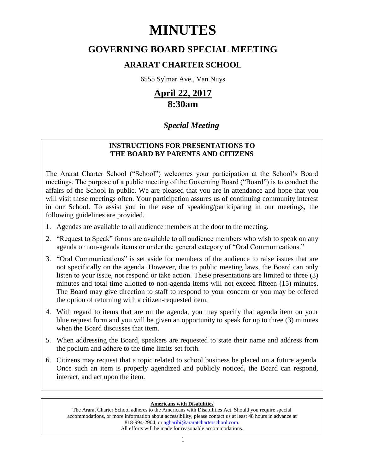# **MINUTES**

# **GOVERNING BOARD SPECIAL MEETING**

# **ARARAT CHARTER SCHOOL**

6555 Sylmar Ave., Van Nuys

# **April 22, 2017 8:30am**

# *Special Meeting*

# **INSTRUCTIONS FOR PRESENTATIONS TO THE BOARD BY PARENTS AND CITIZENS**

The Ararat Charter School ("School") welcomes your participation at the School's Board meetings. The purpose of a public meeting of the Governing Board ("Board") is to conduct the affairs of the School in public. We are pleased that you are in attendance and hope that you will visit these meetings often. Your participation assures us of continuing community interest in our School. To assist you in the ease of speaking/participating in our meetings, the following guidelines are provided.

- 1. Agendas are available to all audience members at the door to the meeting.
- 2. "Request to Speak" forms are available to all audience members who wish to speak on any agenda or non-agenda items or under the general category of "Oral Communications."
- 3. "Oral Communications" is set aside for members of the audience to raise issues that are not specifically on the agenda. However, due to public meeting laws, the Board can only listen to your issue, not respond or take action. These presentations are limited to three (3) minutes and total time allotted to non-agenda items will not exceed fifteen (15) minutes. The Board may give direction to staff to respond to your concern or you may be offered the option of returning with a citizen-requested item.
- 4. With regard to items that are on the agenda, you may specify that agenda item on your blue request form and you will be given an opportunity to speak for up to three (3) minutes when the Board discusses that item.
- 5. When addressing the Board, speakers are requested to state their name and address from the podium and adhere to the time limits set forth.
- 6. Citizens may request that a topic related to school business be placed on a future agenda. Once such an item is properly agendized and publicly noticed, the Board can respond, interact, and act upon the item.

# **Americans with Disabilities**

The Ararat Charter School adheres to the Americans with Disabilities Act. Should you require special accommodations, or more information about accessibility, please contact us at least 48 hours in advance at 818-994-2904, or [agharibi@araratcharterschool.com.](mailto:agharibi@araratcharterschool.com)  All efforts will be made for reasonable accommodations.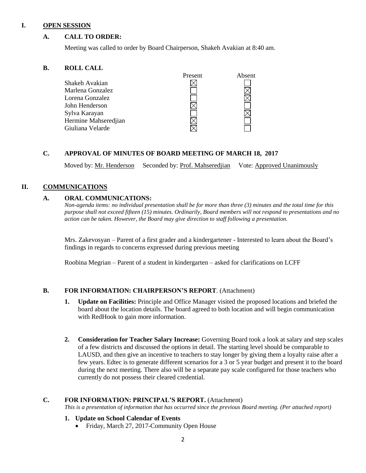#### **I. OPEN SESSION**

### **A. CALL TO ORDER:**

Meeting was called to order by Board Chairperson, Shakeh Avakian at 8:40 am.

#### **B. ROLL CALL**

|                      | Present | Absent |
|----------------------|---------|--------|
| Shakeh Avakian       |         |        |
| Marlena Gonzalez     |         |        |
| Lorena Gonzalez      |         |        |
| John Henderson       |         |        |
| Sylva Karayan        |         |        |
| Hermine Mahseredjian |         |        |
| Giuliana Velarde     |         |        |
|                      |         |        |

#### **C. APPROVAL OF MINUTES OF BOARD MEETING OF MARCH 18, 2017**

Moved by: Mr. Henderson Seconded by: Prof. Mahseredjian Vote: Approved Unanimously

### **II. COMMUNICATIONS**

#### **A. ORAL COMMUNICATIONS:**

*Non-agenda items: no individual presentation shall be for more than three (3) minutes and the total time for this purpose shall not exceed fifteen (15) minutes. Ordinarily, Board members will not respond to presentations and no action can be taken. However, the Board may give direction to staff following a presentation.*

Mrs. Zakevosyan – Parent of a first grader and a kindergartener - Interested to learn about the Board's findings in regards to concerns expressed during previous meeting

Roobina Megrian – Parent of a student in kindergarten – asked for clarifications on LCFF

# **B. FOR INFORMATION: CHAIRPERSON'S REPORT**. (Attachment)

- **1. Update on Facilities:** Principle and Office Manager visited the proposed locations and briefed the board about the location details. The board agreed to both location and will begin communication with RedHook to gain more information.
- **2. Consideration for Teacher Salary Increase:** Governing Board took a look at salary and step scales of a few districts and discussed the options in detail. The starting level should be comparable to LAUSD, and then give an incentive to teachers to stay longer by giving them a loyalty raise after a few years. Edtec is to generate different scenarios for a 3 or 5 year budget and present it to the board during the next meeting. There also will be a separate pay scale configured for those teachers who currently do not possess their cleared credential.

#### **C. FOR INFORMATION: PRINCIPAL'S REPORT.** (Attachment)

*This is a presentation of information that has occurred since the previous Board meeting. (Per attached report)*

#### **1. Update on School Calendar of Events**

• Friday, March 27, 2017-Community Open House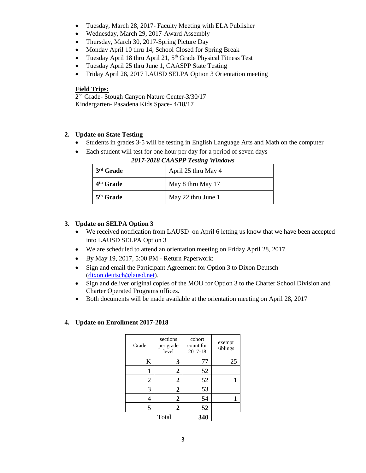- Tuesday, March 28, 2017- Faculty Meeting with ELA Publisher
- Wednesday, March 29, 2017-Award Assembly
- Thursday, March 30, 2017-Spring Picture Day
- Monday April 10 thru 14, School Closed for Spring Break
- Tuesday April 18 thru April 21,  $5<sup>th</sup>$  Grade Physical Fitness Test
- Tuesday April 25 thru June 1, CAASPP State Testing
- Friday April 28, 2017 LAUSD SELPA Option 3 Orientation meeting

# **Field Trips:**

2<sup>nd</sup> Grade- Stough Canyon Nature Center-3/30/17 Kindergarten- Pasadena Kids Space- 4/18/17

# **2. Update on State Testing**

- Students in grades 3-5 will be testing in English Language Arts and Math on the computer
- Each student will test for one hour per day for a period of seven days

| 3 <sup>rd</sup> Grade | April 25 thru May 4 |
|-----------------------|---------------------|
| 4 <sup>th</sup> Grade | May 8 thru May 17   |
| 5 <sup>th</sup> Grade | May 22 thru June 1  |

### *2017-2018 CAASPP Testing Windows*

# **3. Update on SELPA Option 3**

- We received notification from LAUSD on April 6 letting us know that we have been accepted into LAUSD SELPA Option 3
- We are scheduled to attend an orientation meeting on Friday April 28, 2017.
- By May 19, 2017, 5:00 PM Return Paperwork:
- Sign and email the Participant Agreement for Option 3 to Dixon Deutsch [\(dixon.deutsch@lausd.net\)](mailto:dixon.deutsch@lausd.net).
- Sign and deliver original copies of the MOU for Option 3 to the Charter School Division and Charter Operated Programs offices.
- Both documents will be made available at the orientation meeting on April 28, 2017

# **4. Update on Enrollment 2017-2018**

| Grade | sections<br>per grade<br>level | cohort<br>count for<br>2017-18 | exempt<br>siblings |
|-------|--------------------------------|--------------------------------|--------------------|
| K     | 3                              | 77                             | 25                 |
| 1     | $\mathbf{2}$                   | 52                             |                    |
| 2     | $\mathbf{2}$                   | 52                             |                    |
| 3     | 2                              | 53                             |                    |
| 4     | 2                              | 54                             |                    |
| 5     | 2                              | 52                             |                    |
|       | Total                          | 340                            |                    |
|       |                                |                                |                    |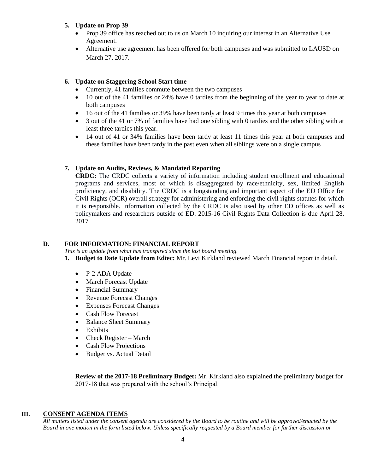# **5. Update on Prop 39**

- Prop 39 office has reached out to us on March 10 inquiring our interest in an Alternative Use Agreement.
- Alternative use agreement has been offered for both campuses and was submitted to LAUSD on March 27, 2017.

# **6. Update on Staggering School Start time**

- Currently, 41 families commute between the two campuses
- 10 out of the 41 families or 24% have 0 tardies from the beginning of the year to year to date at both campuses
- 16 out of the 41 families or 39% have been tardy at least 9 times this year at both campuses
- 3 out of the 41 or 7% of families have had one sibling with 0 tardies and the other sibling with at least three tardies this year.
- 14 out of 41 or 34% families have been tardy at least 11 times this year at both campuses and these families have been tardy in the past even when all siblings were on a single campus

# **7. Update on Audits, Reviews, & Mandated Reporting**

**CRDC:** The CRDC collects a variety of information including student enrollment and educational programs and services, most of which is disaggregated by race/ethnicity, sex, limited English proficiency, and disability. The CRDC is a longstanding and important aspect of the ED Office for Civil Rights (OCR) overall strategy for administering and enforcing the civil rights statutes for which it is responsible. Information collected by the CRDC is also used by other ED offices as well as policymakers and researchers outside of ED. 2015-16 Civil Rights Data Collection is due April 28, 2017

# **D. FOR INFORMATION: FINANCIAL REPORT**

*This is an update from what has transpired since the last board meeting.*

- **1. Budget to Date Update from Edtec:** Mr. Levi Kirkland reviewed March Financial report in detail.
	- P-2 ADA Update
	- March Forecast Update
	- Financial Summary
	- Revenue Forecast Changes
	- Expenses Forecast Changes
	- Cash Flow Forecast
	- Balance Sheet Summary
	- Exhibits
	- Check Register March
	- Cash Flow Projections
	- Budget vs. Actual Detail

**Review of the 2017-18 Preliminary Budget:** Mr. Kirkland also explained the preliminary budget for 2017-18 that was prepared with the school's Principal.

### **III. CONSENT AGENDA ITEMS**

*All matters listed under the consent agenda are considered by the Board to be routine and will be approved/enacted by the Board in one motion in the form listed below. Unless specifically requested by a Board member for further discussion or*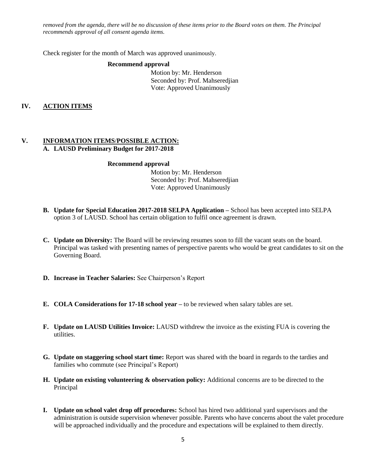*removed from the agenda, there will be no discussion of these items prior to the Board votes on them. The Principal recommends approval of all consent agenda items.*

Check register for the month of March was approved unanimously.

#### **Recommend approval**

 Motion by: Mr. Henderson Seconded by: Prof. Mahseredjian Vote: Approved Unanimously

# **IV. ACTION ITEMS**

### **V. INFORMATION ITEMS**/**POSSIBLE ACTION: A. LAUSD Preliminary Budget for 2017-2018**

#### **Recommend approval**

 Motion by: Mr. Henderson Seconded by: Prof. Mahseredjian Vote: Approved Unanimously

- **B. Update for Special Education 2017-2018 SELPA Application –** School has been accepted into SELPA option 3 of LAUSD. School has certain obligation to fulfil once agreement is drawn.
- **C. Update on Diversity:** The Board will be reviewing resumes soon to fill the vacant seats on the board. Principal was tasked with presenting names of perspective parents who would be great candidates to sit on the Governing Board.
- **D. Increase in Teacher Salaries:** See Chairperson's Report
- **E. COLA Considerations for 17-18 school year –** to be reviewed when salary tables are set.
- **F. Update on LAUSD Utilities Invoice:** LAUSD withdrew the invoice as the existing FUA is covering the utilities.
- **G. Update on staggering school start time:** Report was shared with the board in regards to the tardies and families who commute (see Principal's Report)
- **H. Update on existing volunteering & observation policy:** Additional concerns are to be directed to the Principal
- **I. Update on school valet drop off procedures:** School has hired two additional yard supervisors and the administration is outside supervision whenever possible. Parents who have concerns about the valet procedure will be approached individually and the procedure and expectations will be explained to them directly.